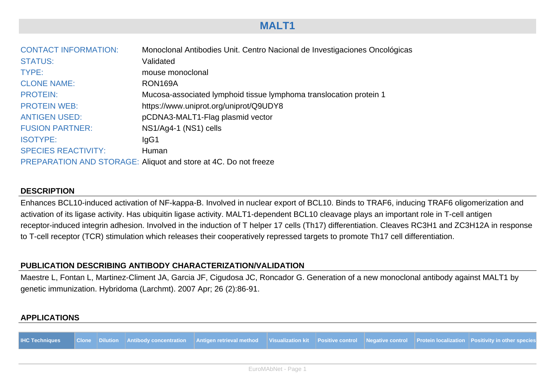## **MALT1**

| <b>CONTACT INFORMATION:</b> | Monoclonal Antibodies Unit. Centro Nacional de Investigaciones Oncológicas |
|-----------------------------|----------------------------------------------------------------------------|
| <b>STATUS:</b>              | Validated                                                                  |
| TYPE:                       | mouse monoclonal                                                           |
| <b>CLONE NAME:</b>          | RON169A                                                                    |
| <b>PROTEIN:</b>             | Mucosa-associated lymphoid tissue lymphoma translocation protein 1         |
| <b>PROTEIN WEB:</b>         | https://www.uniprot.org/uniprot/Q9UDY8                                     |
| <b>ANTIGEN USED:</b>        | pCDNA3-MALT1-Flag plasmid vector                                           |
| <b>FUSION PARTNER:</b>      | NS1/Ag4-1 (NS1) cells                                                      |
| <b>ISOTYPE:</b>             | lgG1                                                                       |
| <b>SPECIES REACTIVITY:</b>  | Human                                                                      |
|                             | PREPARATION AND STORAGE: Aliquot and store at 4C. Do not freeze            |

#### **DESCRIPTION**

Enhances BCL10-induced activation of NF-kappa-B. Involved in nuclear export of BCL10. Binds to TRAF6, inducing TRAF6 oligomerization and activation of its ligase activity. Has ubiquitin ligase activity. MALT1-dependent BCL10 cleavage plays an important role in T-cell antigen receptor-induced integrin adhesion. Involved in the induction of T helper 17 cells (Th17) differentiation. Cleaves RC3H1 and ZC3H12A in response to T-cell receptor (TCR) stimulation which releases their cooperatively repressed targets to promote Th17 cell differentiation.

#### **PUBLICATION DESCRIBING ANTIBODY CHARACTERIZATION/VALIDATION**

Maestre L, Fontan L, Martinez-Climent JA, Garcia JF, Cigudosa JC, Roncador G. Generation of a new monoclonal antibody against MALT1 by genetic immunization. Hybridoma (Larchmt). 2007 Apr; 26 (2):86-91.

#### **APPLICATIONS**

|                     |  |  |  | IHC Techniques Clone Dilution Antibody concentration Antigen retrieval method Visualization kit Positive control Negative control Protein localization Positivity in other species |  |  |  |  |  |
|---------------------|--|--|--|------------------------------------------------------------------------------------------------------------------------------------------------------------------------------------|--|--|--|--|--|
|                     |  |  |  |                                                                                                                                                                                    |  |  |  |  |  |
| FuroMAbNet - Page 1 |  |  |  |                                                                                                                                                                                    |  |  |  |  |  |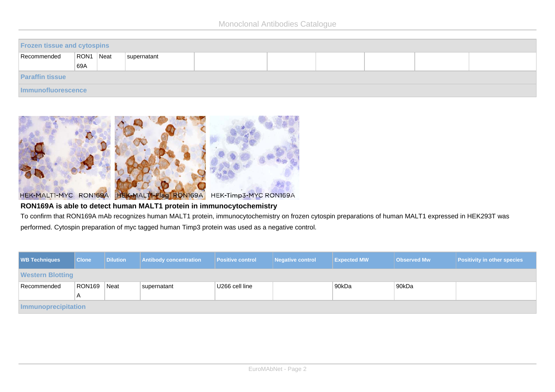| <b>Frozen tissue and cytospins</b> |           |  |             |  |  |  |  |  |  |
|------------------------------------|-----------|--|-------------|--|--|--|--|--|--|
| Recommended                        | RON1 Neat |  | supernatant |  |  |  |  |  |  |
|                                    | 69A       |  |             |  |  |  |  |  |  |
| <b>Paraffin tissue</b>             |           |  |             |  |  |  |  |  |  |
| Immunofluorescence                 |           |  |             |  |  |  |  |  |  |



### **RON169A is able to detect human MALT1 protein in immunocytochemistry**

To confirm that RON169A mAb recognizes human MALT1 protein, immunocytochemistry on frozen cytospin preparations of human MALT1 expressed in HEK293T was performed. Cytospin preparation of myc tagged human Timp3 protein was used as a negative control.

| <b>WB Techniques</b>       | <b>Clone</b> | <b>Dilution</b> | <b>Antibody concentration</b> | <b>Positive control</b> | Negative control | <b>Expected MW</b> | <b>Observed Mw</b> | <b>Positivity in other species</b> |  |  |
|----------------------------|--------------|-----------------|-------------------------------|-------------------------|------------------|--------------------|--------------------|------------------------------------|--|--|
| <b>Western Blotting</b>    |              |                 |                               |                         |                  |                    |                    |                                    |  |  |
| Recommended                | RON169       | Neat            | supernatant                   | U266 cell line          |                  | ∣90kDa             | 90kDa              |                                    |  |  |
|                            | A            |                 |                               |                         |                  |                    |                    |                                    |  |  |
| <b>Immunoprecipitation</b> |              |                 |                               |                         |                  |                    |                    |                                    |  |  |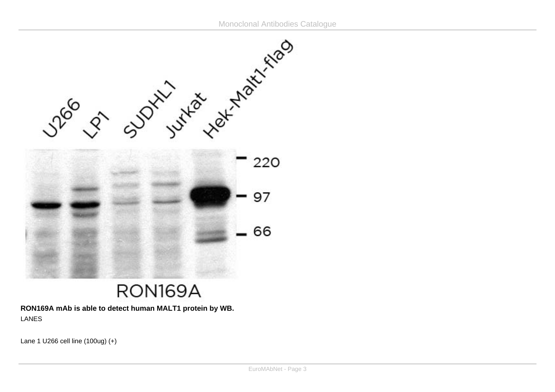

# RON169A

**RON169A mAb is able to detect human MALT1 protein by WB.** LANES

Lane 1 U266 cell line  $(100ug) (+)$